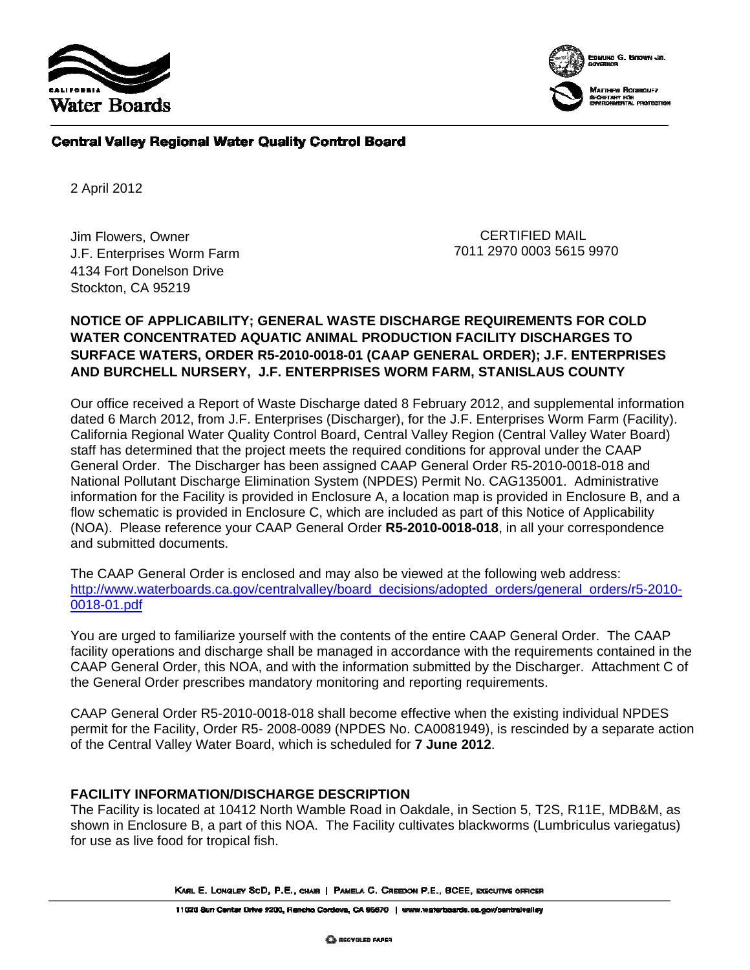



#### **Central Valley Regional Water Quality Control Board**

2 April 2012

Jim Flowers, Owner J.F. Enterprises Worm Farm 4134 Fort Donelson Drive Stockton, CA 95219

 CERTIFIED MAIL 7011 2970 0003 5615 9970

#### **NOTICE OF APPLICABILITY; GENERAL WASTE DISCHARGE REQUIREMENTS FOR COLD WATER CONCENTRATED AQUATIC ANIMAL PRODUCTION FACILITY DISCHARGES TO SURFACE WATERS, ORDER R5-2010-0018-01 (CAAP GENERAL ORDER); J.F. ENTERPRISES AND BURCHELL NURSERY, J.F. ENTERPRISES WORM FARM, STANISLAUS COUNTY**

Our office received a Report of Waste Discharge dated 8 February 2012, and supplemental information dated 6 March 2012, from J.F. Enterprises (Discharger), for the J.F. Enterprises Worm Farm (Facility). California Regional Water Quality Control Board, Central Valley Region (Central Valley Water Board) staff has determined that the project meets the required conditions for approval under the CAAP General Order. The Discharger has been assigned CAAP General Order R5-2010-0018-018 and National Pollutant Discharge Elimination System (NPDES) Permit No. CAG135001.Administrative information for the Facility is provided in Enclosure A, a location map is provided in Enclosure B, and a flow schematic is provided in Enclosure C, which are included as part of this Notice of Applicability (NOA). Please reference your CAAP General Order **R5-2010-0018-018**, in all your correspondence and submitted documents.

The CAAP General Order is enclosed and may also be viewed at the following web address: http://www.waterboards.ca.gov/centralvalley/board\_decisions/adopted\_orders/general\_orders/r5-2010-0018-01.pdf

You are urged to familiarize yourself with the contents of the entire CAAP General Order. The CAAP facility operations and discharge shall be managed in accordance with the requirements contained in the CAAP General Order, this NOA, and with the information submitted by the Discharger. Attachment C of the General Order prescribes mandatory monitoring and reporting requirements.

CAAP General Order R5-2010-0018-018 shall become effective when the existing individual NPDES permit for the Facility, Order R5- 2008-0089 (NPDES No. CA0081949), is rescinded by a separate action of the Central Valley Water Board, which is scheduled for **7 June 2012**.

#### **FACILITY INFORMATION/DISCHARGE DESCRIPTION**

The Facility is located at 10412 North Wamble Road in Oakdale, in Section 5, T2S, R11E, MDB&M, as shown in Enclosure B, a part of this NOA. The Facility cultivates blackworms (Lumbriculus variegatus) for use as live food for tropical fish.

KARL E. LONGLEY SCD, P.E., CHAIR | PAMELA G. CREEDON P.E., BCEE, EXECUTIVE OFFICER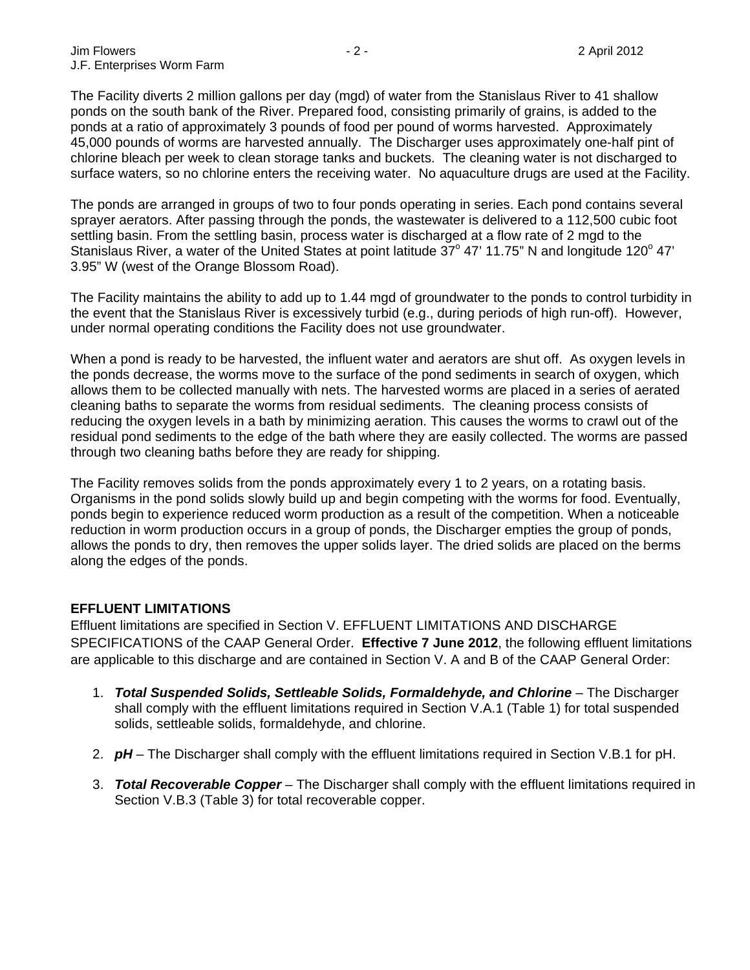The Facility diverts 2 million gallons per day (mgd) of water from the Stanislaus River to 41 shallow ponds on the south bank of the River. Prepared food, consisting primarily of grains, is added to the ponds at a ratio of approximately 3 pounds of food per pound of worms harvested. Approximately 45,000 pounds of worms are harvested annually. The Discharger uses approximately one-half pint of chlorine bleach per week to clean storage tanks and buckets. The cleaning water is not discharged to surface waters, so no chlorine enters the receiving water. No aquaculture drugs are used at the Facility.

The ponds are arranged in groups of two to four ponds operating in series. Each pond contains several sprayer aerators. After passing through the ponds, the wastewater is delivered to a 112,500 cubic foot settling basin. From the settling basin, process water is discharged at a flow rate of 2 mgd to the Stanislaus River, a water of the United States at point latitude  $37^{\circ}$  47' 11.75" N and longitude 120° 47' 3.95" W (west of the Orange Blossom Road).

The Facility maintains the ability to add up to 1.44 mgd of groundwater to the ponds to control turbidity in the event that the Stanislaus River is excessively turbid (e.g., during periods of high run-off). However, under normal operating conditions the Facility does not use groundwater.

When a pond is ready to be harvested, the influent water and aerators are shut off. As oxygen levels in the ponds decrease, the worms move to the surface of the pond sediments in search of oxygen, which allows them to be collected manually with nets. The harvested worms are placed in a series of aerated cleaning baths to separate the worms from residual sediments. The cleaning process consists of reducing the oxygen levels in a bath by minimizing aeration. This causes the worms to crawl out of the residual pond sediments to the edge of the bath where they are easily collected. The worms are passed through two cleaning baths before they are ready for shipping.

The Facility removes solids from the ponds approximately every 1 to 2 years, on a rotating basis. Organisms in the pond solids slowly build up and begin competing with the worms for food. Eventually, ponds begin to experience reduced worm production as a result of the competition. When a noticeable reduction in worm production occurs in a group of ponds, the Discharger empties the group of ponds, allows the ponds to dry, then removes the upper solids layer. The dried solids are placed on the berms along the edges of the ponds.

#### **EFFLUENT LIMITATIONS**

Effluent limitations are specified in Section V. EFFLUENT LIMITATIONS AND DISCHARGE SPECIFICATIONS of the CAAP General Order. **Effective 7 June 2012**, the following effluent limitations are applicable to this discharge and are contained in Section V. A and B of the CAAP General Order:

- 1. *Total Suspended Solids, Settleable Solids, Formaldehyde, and Chlorine* The Discharger shall comply with the effluent limitations required in Section V.A.1 (Table 1) for total suspended solids, settleable solids, formaldehyde, and chlorine.
- 2. *pH* The Discharger shall comply with the effluent limitations required in Section V.B.1 for pH.
- 3. *Total Recoverable Copper* The Discharger shall comply with the effluent limitations required in Section V.B.3 (Table 3) for total recoverable copper.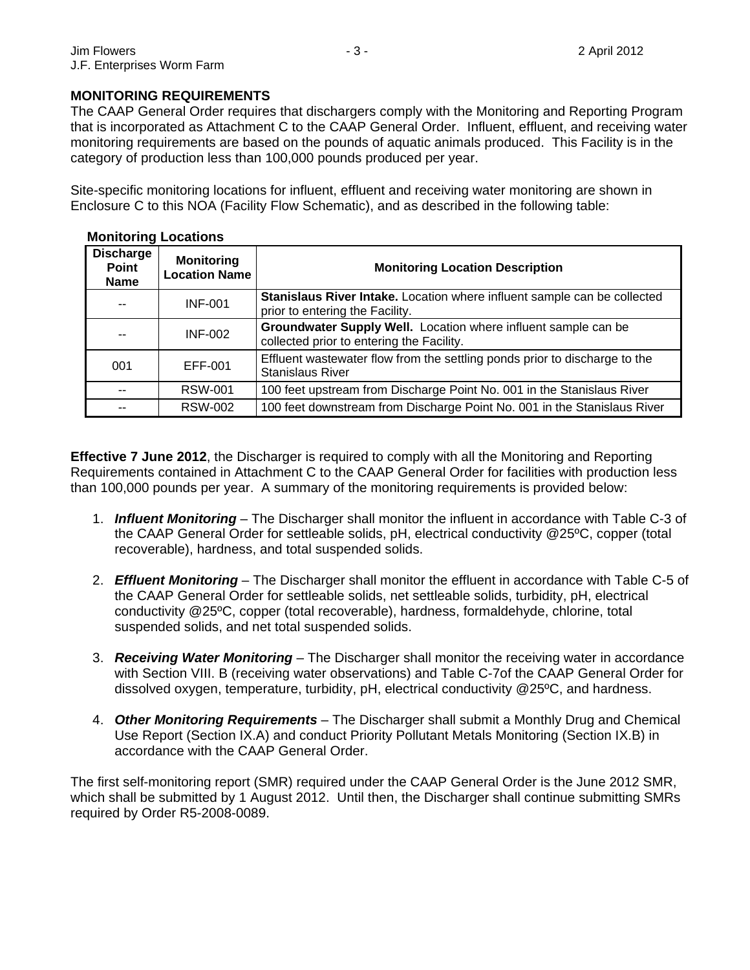#### **MONITORING REQUIREMENTS**

The CAAP General Order requires that dischargers comply with the Monitoring and Reporting Program that is incorporated as Attachment C to the CAAP General Order. Influent, effluent, and receiving water monitoring requirements are based on the pounds of aquatic animals produced. This Facility is in the category of production less than 100,000 pounds produced per year.

Site-specific monitoring locations for influent, effluent and receiving water monitoring are shown in Enclosure C to this NOA (Facility Flow Schematic), and as described in the following table:

| <b>Discharge</b><br>Point<br><b>Name</b> | <b>Monitoring</b><br><b>Location Name</b> | <b>Monitoring Location Description</b>                                                                      |
|------------------------------------------|-------------------------------------------|-------------------------------------------------------------------------------------------------------------|
| $-$                                      | <b>INF-001</b>                            | Stanislaus River Intake. Location where influent sample can be collected<br>prior to entering the Facility. |
| --                                       | <b>INF-002</b>                            | Groundwater Supply Well. Location where influent sample can be<br>collected prior to entering the Facility. |
| 001                                      | EFF-001                                   | Effluent wastewater flow from the settling ponds prior to discharge to the<br><b>Stanislaus River</b>       |
| $-$                                      | <b>RSW-001</b>                            | 100 feet upstream from Discharge Point No. 001 in the Stanislaus River                                      |
| --                                       | <b>RSW-002</b>                            | 100 feet downstream from Discharge Point No. 001 in the Stanislaus River                                    |

## **Monitoring Locations**

**Effective 7 June 2012**, the Discharger is required to comply with all the Monitoring and Reporting Requirements contained in Attachment C to the CAAP General Order for facilities with production less than 100,000 pounds per year. A summary of the monitoring requirements is provided below:

- 1. *Influent Monitoring* The Discharger shall monitor the influent in accordance with Table C-3 of the CAAP General Order for settleable solids, pH, electrical conductivity @25ºC, copper (total recoverable), hardness, and total suspended solids.
- 2. *Effluent Monitoring* The Discharger shall monitor the effluent in accordance with Table C-5 of the CAAP General Order for settleable solids, net settleable solids, turbidity, pH, electrical conductivity @25ºC, copper (total recoverable), hardness, formaldehyde, chlorine, total suspended solids, and net total suspended solids.
- 3. *Receiving Water Monitoring* The Discharger shall monitor the receiving water in accordance with Section VIII. B (receiving water observations) and Table C-7of the CAAP General Order for dissolved oxygen, temperature, turbidity, pH, electrical conductivity @25ºC, and hardness.
- 4. *Other Monitoring Requirements* The Discharger shall submit a Monthly Drug and Chemical Use Report (Section IX.A) and conduct Priority Pollutant Metals Monitoring (Section IX.B) in accordance with the CAAP General Order.

The first self-monitoring report (SMR) required under the CAAP General Order is the June 2012 SMR, which shall be submitted by 1 August 2012. Until then, the Discharger shall continue submitting SMRs required by Order R5-2008-0089.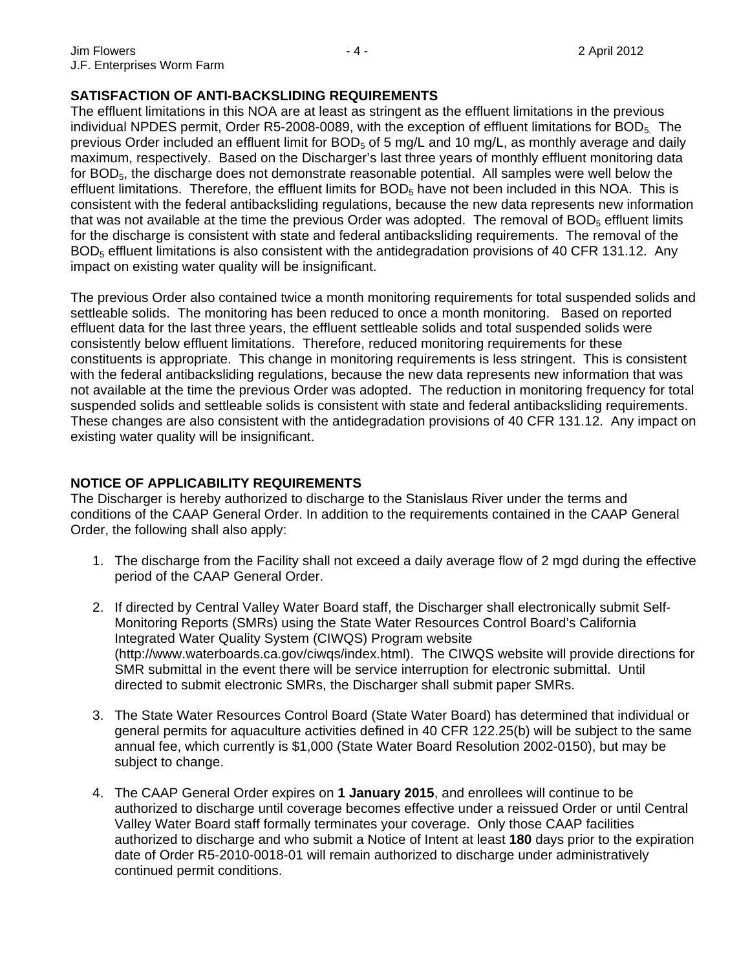#### **SATISFACTION OF ANTI-BACKSLIDING REQUIREMENTS**

The effluent limitations in this NOA are at least as stringent as the effluent limitations in the previous individual NPDES permit, Order R5-2008-0089, with the exception of effluent limitations for BOD $_5$ . The previous Order included an effluent limit for  $BOD<sub>5</sub>$  of 5 mg/L and 10 mg/L, as monthly average and daily maximum, respectively. Based on the Discharger's last three years of monthly effluent monitoring data for BOD<sub>5</sub>, the discharge does not demonstrate reasonable potential. All samples were well below the effluent limitations. Therefore, the effluent limits for  $BOD<sub>5</sub>$  have not been included in this NOA. This is consistent with the federal antibacksliding regulations, because the new data represents new information that was not available at the time the previous Order was adopted. The removal of  $BOD<sub>5</sub>$  effluent limits for the discharge is consistent with state and federal antibacksliding requirements. The removal of the  $BOD<sub>5</sub>$  effluent limitations is also consistent with the antidegradation provisions of 40 CFR 131.12. Any impact on existing water quality will be insignificant.

The previous Order also contained twice a month monitoring requirements for total suspended solids and settleable solids. The monitoring has been reduced to once a month monitoring. Based on reported effluent data for the last three years, the effluent settleable solids and total suspended solids were consistently below effluent limitations. Therefore, reduced monitoring requirements for these constituents is appropriate. This change in monitoring requirements is less stringent. This is consistent with the federal antibacksliding regulations, because the new data represents new information that was not available at the time the previous Order was adopted. The reduction in monitoring frequency for total suspended solids and settleable solids is consistent with state and federal antibacksliding requirements. These changes are also consistent with the antidegradation provisions of 40 CFR 131.12. Any impact on existing water quality will be insignificant.

#### **NOTICE OF APPLICABILITY REQUIREMENTS**

The Discharger is hereby authorized to discharge to the Stanislaus River under the terms and conditions of the CAAP General Order. In addition to the requirements contained in the CAAP General Order, the following shall also apply:

- 1. The discharge from the Facility shall not exceed a daily average flow of 2 mgd during the effective period of the CAAP General Order.
- 2. If directed by Central Valley Water Board staff, the Discharger shall electronically submit Self-Monitoring Reports (SMRs) using the State Water Resources Control Board's California Integrated Water Quality System (CIWQS) Program website (http://www.waterboards.ca.gov/ciwqs/index.html). The CIWQS website will provide directions for SMR submittal in the event there will be service interruption for electronic submittal. Until directed to submit electronic SMRs, the Discharger shall submit paper SMRs.
- 3. The State Water Resources Control Board (State Water Board) has determined that individual or general permits for aquaculture activities defined in 40 CFR 122.25(b) will be subject to the same annual fee, which currently is \$1,000 (State Water Board Resolution 2002-0150), but may be subject to change.
- 4. The CAAP General Order expires on **1 January 2015**, and enrollees will continue to be authorized to discharge until coverage becomes effective under a reissued Order or until Central Valley Water Board staff formally terminates your coverage. Only those CAAP facilities authorized to discharge and who submit a Notice of Intent at least **180** days prior to the expiration date of Order R5-2010-0018-01 will remain authorized to discharge under administratively continued permit conditions.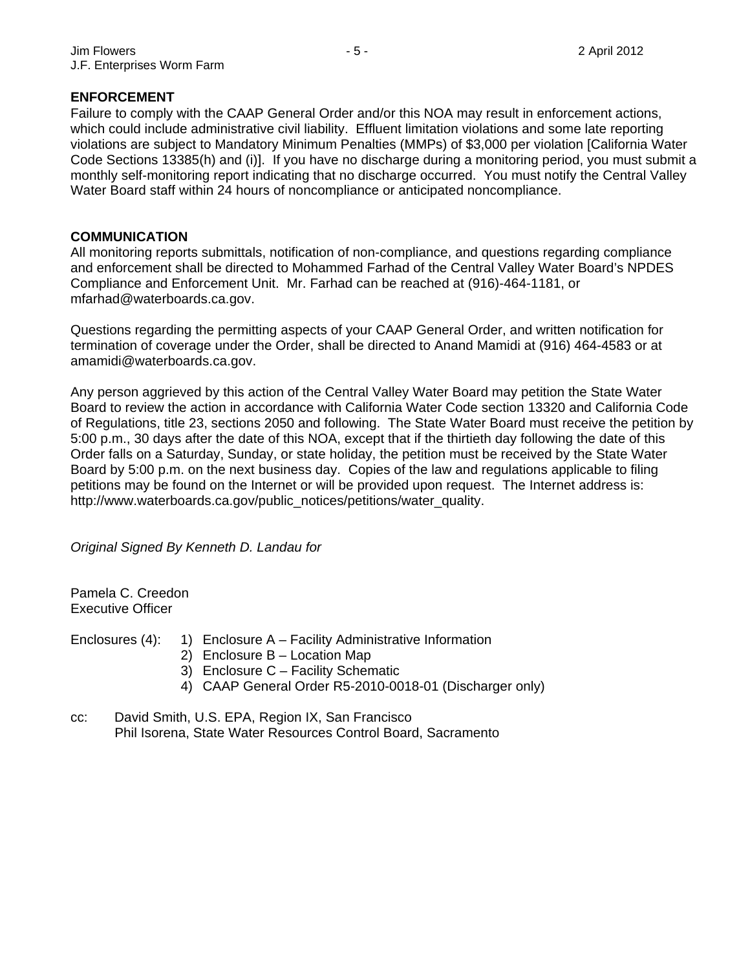#### **ENFORCEMENT**

Failure to comply with the CAAP General Order and/or this NOA may result in enforcement actions, which could include administrative civil liability. Effluent limitation violations and some late reporting violations are subject to Mandatory Minimum Penalties (MMPs) of \$3,000 per violation [California Water Code Sections 13385(h) and (i)]. If you have no discharge during a monitoring period, you must submit a monthly self-monitoring report indicating that no discharge occurred. You must notify the Central Valley Water Board staff within 24 hours of noncompliance or anticipated noncompliance.

#### **COMMUNICATION**

All monitoring reports submittals, notification of non-compliance, and questions regarding compliance and enforcement shall be directed to Mohammed Farhad of the Central Valley Water Board's NPDES Compliance and Enforcement Unit. Mr. Farhad can be reached at (916)-464-1181, or mfarhad@waterboards.ca.gov.

Questions regarding the permitting aspects of your CAAP General Order, and written notification for termination of coverage under the Order, shall be directed to Anand Mamidi at (916) 464-4583 or at amamidi@waterboards.ca.gov.

Any person aggrieved by this action of the Central Valley Water Board may petition the State Water Board to review the action in accordance with California Water Code section 13320 and California Code of Regulations, title 23, sections 2050 and following. The State Water Board must receive the petition by 5:00 p.m., 30 days after the date of this NOA, except that if the thirtieth day following the date of this Order falls on a Saturday, Sunday, or state holiday, the petition must be received by the State Water Board by 5:00 p.m. on the next business day. Copies of the law and regulations applicable to filing petitions may be found on the Internet or will be provided upon request. The Internet address is: http://www.waterboards.ca.gov/public\_notices/petitions/water\_quality.

*Original Signed By Kenneth D. Landau for* 

Pamela C. Creedon Executive Officer

Enclosures  $(4)$ : 1) Enclosure A – Facility Administrative Information

- 2) Enclosure B Location Map
- 3) Enclosure C Facility Schematic
- 4) CAAP General Order R5-2010-0018-01 (Discharger only)
- cc: David Smith, U.S. EPA, Region IX, San Francisco Phil Isorena, State Water Resources Control Board, Sacramento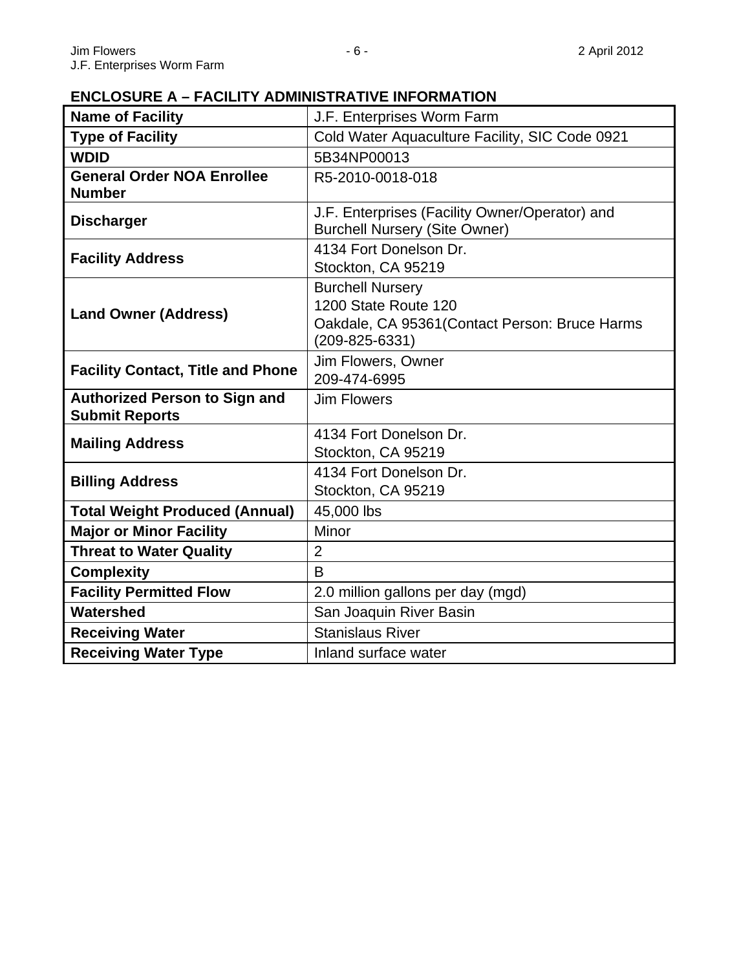# **ENCLOSURE A – FACILITY ADMINISTRATIVE INFORMATION**

| <b>Name of Facility</b>                                       | J.F. Enterprises Worm Farm                                                                                                |
|---------------------------------------------------------------|---------------------------------------------------------------------------------------------------------------------------|
| <b>Type of Facility</b>                                       | Cold Water Aquaculture Facility, SIC Code 0921                                                                            |
| <b>WDID</b>                                                   | 5B34NP00013                                                                                                               |
| <b>General Order NOA Enrollee</b><br><b>Number</b>            | R5-2010-0018-018                                                                                                          |
| <b>Discharger</b>                                             | J.F. Enterprises (Facility Owner/Operator) and<br><b>Burchell Nursery (Site Owner)</b>                                    |
| <b>Facility Address</b>                                       | 4134 Fort Donelson Dr.<br>Stockton, CA 95219                                                                              |
| <b>Land Owner (Address)</b>                                   | <b>Burchell Nursery</b><br>1200 State Route 120<br>Oakdale, CA 95361 (Contact Person: Bruce Harms<br>$(209 - 825 - 6331)$ |
| <b>Facility Contact, Title and Phone</b>                      | Jim Flowers, Owner<br>209-474-6995                                                                                        |
| <b>Authorized Person to Sign and</b><br><b>Submit Reports</b> | <b>Jim Flowers</b>                                                                                                        |
| <b>Mailing Address</b>                                        | 4134 Fort Donelson Dr.<br>Stockton, CA 95219                                                                              |
| <b>Billing Address</b>                                        | 4134 Fort Donelson Dr.<br>Stockton, CA 95219                                                                              |
| <b>Total Weight Produced (Annual)</b>                         | 45,000 lbs                                                                                                                |
| <b>Major or Minor Facility</b>                                | Minor                                                                                                                     |
| <b>Threat to Water Quality</b>                                | $\overline{2}$                                                                                                            |
| <b>Complexity</b>                                             | $\overline{B}$                                                                                                            |
| <b>Facility Permitted Flow</b>                                | 2.0 million gallons per day (mgd)                                                                                         |
| Watershed                                                     | San Joaquin River Basin                                                                                                   |
| <b>Receiving Water</b>                                        | <b>Stanislaus River</b>                                                                                                   |
| <b>Receiving Water Type</b>                                   | Inland surface water                                                                                                      |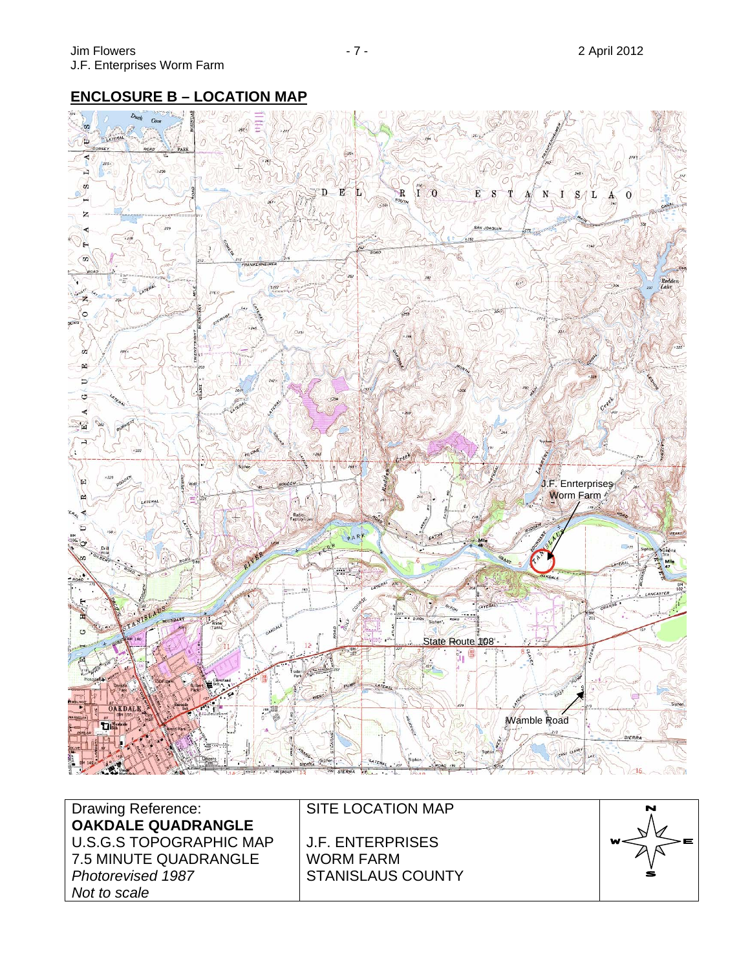# **ENCLOSURE B – LOCATION MAP**



Drawing Reference: **OAKDALE QUADRANGLE**  U.S.G.S TOPOGRAPHIC MAP 7.5 MINUTE QUADRANGLE *Photorevised 1987 Not to scale*

SITE LOCATION MAP

J.F. ENTERPRISES WORM FARM STANISLAUS COUNTY